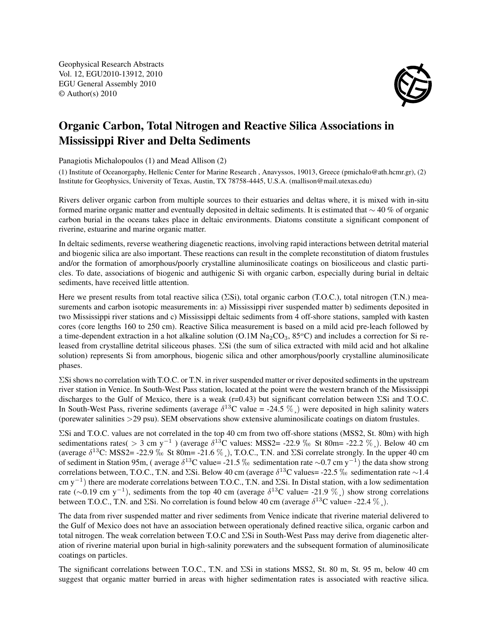Geophysical Research Abstracts Vol. 12, EGU2010-13912, 2010 EGU General Assembly 2010 © Author(s) 2010



## Organic Carbon, Total Nitrogen and Reactive Silica Associations in Mississippi River and Delta Sediments

Panagiotis Michalopoulos (1) and Mead Allison (2)

(1) Institute of Oceanorgaphy, Hellenic Center for Marine Research , Anavyssos, 19013, Greece (pmichalo@ath.hcmr.gr), (2) Institute for Geophysics, University of Texas, Austin, TX 78758-4445, U.S.A. (mallison@mail.utexas.edu)

Rivers deliver organic carbon from multiple sources to their estuaries and deltas where, it is mixed with in-situ formed marine organic matter and eventually deposited in deltaic sediments. It is estimated that ∼ 40 % of organic carbon burial in the oceans takes place in deltaic environments. Diatoms constitute a significant component of riverine, estuarine and marine organic matter.

In deltaic sediments, reverse weathering diagenetic reactions, involving rapid interactions between detrital material and biogenic silica are also important. These reactions can result in the complete reconstitution of diatom frustules and/or the formation of amorphous/poorly crystalline aluminosilicate coatings on biosiliceous and clastic particles. To date, associations of biogenic and authigenic Si with organic carbon, especially during burial in deltaic sediments, have received little attention.

Here we present results from total reactive silica (ΣSi), total organic carbon (T.O.C.), total nitrogen (T.N.) measurements and carbon isotopic measurements in: a) Mississippi river suspended matter b) sediments deposited in two Mississippi river stations and c) Mississippi deltaic sediments from 4 off-shore stations, sampled with kasten cores (core lengths 160 to 250 cm). Reactive Silica measurement is based on a mild acid pre-leach followed by a time-dependent extraction in a hot alkaline solution  $(O.1M Na<sub>2</sub>CO<sub>3</sub>, 85°C)$  and includes a correction for Si released from crystalline detrital siliceous phases. ΣSi (the sum of silica extracted with mild acid and hot alkaline solution) represents Si from amorphous, biogenic silica and other amorphous/poorly crystalline aluminosilicate phases.

ΣSi shows no correlation with T.O.C. or T.N. in river suspended matter or river deposited sediments in the upstream river station in Venice. In South-West Pass station, located at the point were the western branch of the Mississippi discharges to the Gulf of Mexico, there is a weak (r=0.43) but significant correlation between ΣSi and T.O.C. In South-West Pass, riverine sediments (average  $\delta^{13}$ C value = -24.5 %,) were deposited in high salinity waters (porewater salinities >29 psu). SEM observations show extensive aluminosilicate coatings on diatom frustules.

ΣSi and T.O.C. values are not correlated in the top 40 cm from two off-shore stations (MSS2, St. 80m) with high sedimentations rates( > 3 cm y<sup>-1</sup>) (average  $\delta^{13}$ C values: MSS2= -22.9 \% St 80m= -22.2 \% ). Below 40 cm (average  $\delta^{13}$ C: MSS2= -22.9 \% St 80m= -21.6 \%), T.O.C., T.N. and  $\Sigma$ Si correlate strongly. In the upper 40 cm of sediment in Station 95m, ( average  $\delta^{13}$ C value= -21.5 ‰ sedimentation rate ∼0.7 cm y<sup>-1</sup>) the data show strong correlations between, T.O.C., T.N. and  $\Sigma$ Si. Below 40 cm (average  $\delta^{13}$ C values= -22.5 ‰ sedimentation rate ∼1.4 cm y<sup>-1</sup>) there are moderate correlations between T.O.C., T.N. and ∑Si. In Distal station, with a low sedimentation rate ( $\sim$ 0.19 cm y<sup>-1</sup>), sediments from the top 40 cm (average  $\delta^{13}$ C value= -21.9 %) show strong correlations between T.O.C., T.N. and  $\Sigma$ Si. No correlation is found below 40 cm (average  $\delta^{13}$ C value= -22.4  $\%$ .).

The data from river suspended matter and river sediments from Venice indicate that riverine material delivered to the Gulf of Mexico does not have an association between operationaly defined reactive silica, organic carbon and total nitrogen. The weak correlation between T.O.C and ΣSi in South-West Pass may derive from diagenetic alteration of riverine material upon burial in high-salinity porewaters and the subsequent formation of aluminosilicate coatings on particles.

The significant correlations between T.O.C., T.N. and ΣSi in stations MSS2, St. 80 m, St. 95 m, below 40 cm suggest that organic matter burried in areas with higher sedimentation rates is associated with reactive silica.